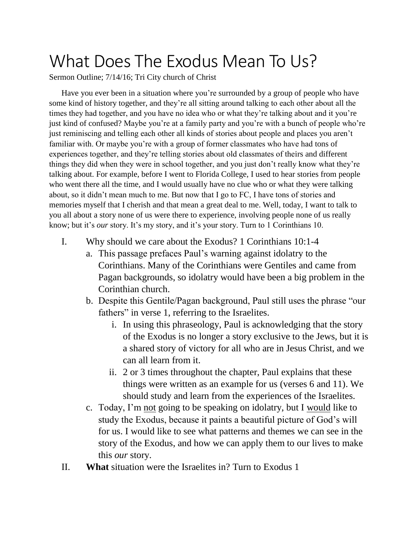## What Does The Exodus Mean To Us?

Sermon Outline; 7/14/16; Tri City church of Christ

Have you ever been in a situation where you're surrounded by a group of people who have some kind of history together, and they're all sitting around talking to each other about all the times they had together, and you have no idea who or what they're talking about and it you're just kind of confused? Maybe you're at a family party and you're with a bunch of people who're just reminiscing and telling each other all kinds of stories about people and places you aren't familiar with. Or maybe you're with a group of former classmates who have had tons of experiences together, and they're telling stories about old classmates of theirs and different things they did when they were in school together, and you just don't really know what they're talking about. For example, before I went to Florida College, I used to hear stories from people who went there all the time, and I would usually have no clue who or what they were talking about, so it didn't mean much to me. But now that I go to FC, I have tons of stories and memories myself that I cherish and that mean a great deal to me. Well, today, I want to talk to you all about a story none of us were there to experience, involving people none of us really know; but it's *our* story. It's my story, and it's your story. Turn to 1 Corinthians 10.

- I. Why should we care about the Exodus? 1 Corinthians 10:1-4
	- a. This passage prefaces Paul's warning against idolatry to the Corinthians. Many of the Corinthians were Gentiles and came from Pagan backgrounds, so idolatry would have been a big problem in the Corinthian church.
	- b. Despite this Gentile/Pagan background, Paul still uses the phrase "our fathers" in verse 1, referring to the Israelites.
		- i. In using this phraseology, Paul is acknowledging that the story of the Exodus is no longer a story exclusive to the Jews, but it is a shared story of victory for all who are in Jesus Christ, and we can all learn from it.
		- ii. 2 or 3 times throughout the chapter, Paul explains that these things were written as an example for us (verses 6 and 11). We should study and learn from the experiences of the Israelites.
	- c. Today, I'm not going to be speaking on idolatry, but I would like to study the Exodus, because it paints a beautiful picture of God's will for us. I would like to see what patterns and themes we can see in the story of the Exodus, and how we can apply them to our lives to make this *our* story.
- II. **What** situation were the Israelites in? Turn to Exodus 1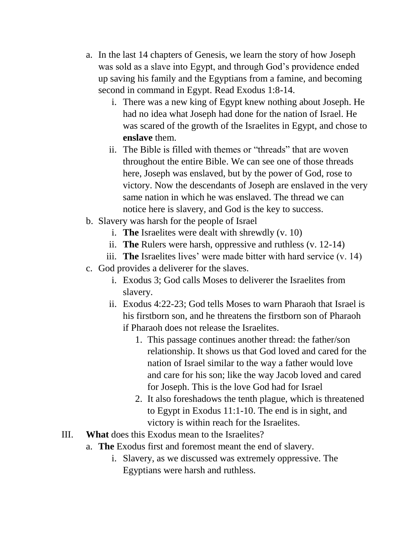- a. In the last 14 chapters of Genesis, we learn the story of how Joseph was sold as a slave into Egypt, and through God's providence ended up saving his family and the Egyptians from a famine, and becoming second in command in Egypt. Read Exodus 1:8-14.
	- i. There was a new king of Egypt knew nothing about Joseph. He had no idea what Joseph had done for the nation of Israel. He was scared of the growth of the Israelites in Egypt, and chose to **enslave** them.
	- ii. The Bible is filled with themes or "threads" that are woven throughout the entire Bible. We can see one of those threads here, Joseph was enslaved, but by the power of God, rose to victory. Now the descendants of Joseph are enslaved in the very same nation in which he was enslaved. The thread we can notice here is slavery, and God is the key to success.
- b. Slavery was harsh for the people of Israel
	- i. **The** Israelites were dealt with shrewdly (v. 10)
	- ii. **The** Rulers were harsh, oppressive and ruthless (v. 12-14)
	- iii. **The** Israelites lives' were made bitter with hard service (v. 14)
- c. God provides a deliverer for the slaves.
	- i. Exodus 3; God calls Moses to deliverer the Israelites from slavery.
	- ii. Exodus 4:22-23; God tells Moses to warn Pharaoh that Israel is his firstborn son, and he threatens the firstborn son of Pharaoh if Pharaoh does not release the Israelites.
		- 1. This passage continues another thread: the father/son relationship. It shows us that God loved and cared for the nation of Israel similar to the way a father would love and care for his son; like the way Jacob loved and cared for Joseph. This is the love God had for Israel
		- 2. It also foreshadows the tenth plague, which is threatened to Egypt in Exodus 11:1-10. The end is in sight, and victory is within reach for the Israelites.
- III. **What** does this Exodus mean to the Israelites?
	- a. **The** Exodus first and foremost meant the end of slavery.
		- i. Slavery, as we discussed was extremely oppressive. The Egyptians were harsh and ruthless.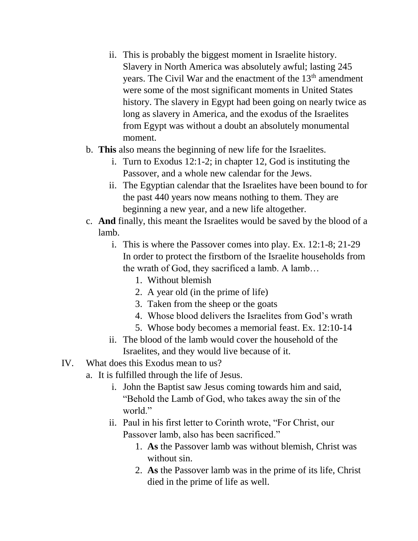- ii. This is probably the biggest moment in Israelite history. Slavery in North America was absolutely awful; lasting 245 years. The Civil War and the enactment of the 13<sup>th</sup> amendment were some of the most significant moments in United States history. The slavery in Egypt had been going on nearly twice as long as slavery in America, and the exodus of the Israelites from Egypt was without a doubt an absolutely monumental moment.
- b. **This** also means the beginning of new life for the Israelites.
	- i. Turn to Exodus 12:1-2; in chapter 12, God is instituting the Passover, and a whole new calendar for the Jews.
	- ii. The Egyptian calendar that the Israelites have been bound to for the past 440 years now means nothing to them. They are beginning a new year, and a new life altogether.
- c. **And** finally, this meant the Israelites would be saved by the blood of a lamb.
	- i. This is where the Passover comes into play. Ex. 12:1-8; 21-29 In order to protect the firstborn of the Israelite households from the wrath of God, they sacrificed a lamb. A lamb…
		- 1. Without blemish
		- 2. A year old (in the prime of life)
		- 3. Taken from the sheep or the goats
		- 4. Whose blood delivers the Israelites from God's wrath
		- 5. Whose body becomes a memorial feast. Ex. 12:10-14
	- ii. The blood of the lamb would cover the household of the Israelites, and they would live because of it.
- IV. What does this Exodus mean to us?
	- a. It is fulfilled through the life of Jesus.
		- i. John the Baptist saw Jesus coming towards him and said, "Behold the Lamb of God, who takes away the sin of the world."
		- ii. Paul in his first letter to Corinth wrote, "For Christ, our Passover lamb, also has been sacrificed."
			- 1. **As** the Passover lamb was without blemish, Christ was without sin.
			- 2. **As** the Passover lamb was in the prime of its life, Christ died in the prime of life as well.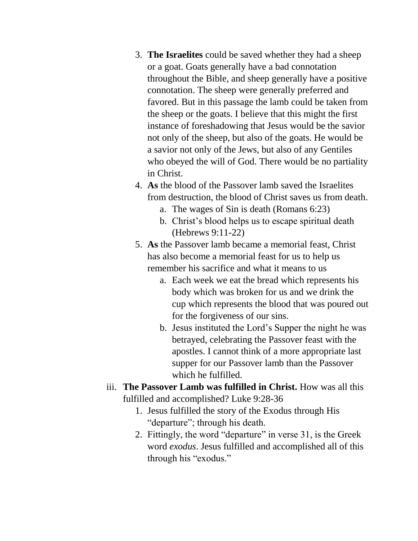- 3. **The Israelites** could be saved whether they had a sheep or a goat. Goats generally have a bad connotation throughout the Bible, and sheep generally have a positive connotation. The sheep were generally preferred and favored. But in this passage the lamb could be taken from the sheep or the goats. I believe that this might the first instance of foreshadowing that Jesus would be the savior not only of the sheep, but also of the goats. He would be a savior not only of the Jews, but also of any Gentiles who obeyed the will of God. There would be no partiality in Christ.
- 4. **As** the blood of the Passover lamb saved the Israelites from destruction, the blood of Christ saves us from death.
	- a. The wages of Sin is death (Romans 6:23)
	- b. Christ's blood helps us to escape spiritual death (Hebrews 9:11-22)
- 5. **As** the Passover lamb became a memorial feast, Christ has also become a memorial feast for us to help us remember his sacrifice and what it means to us
	- a. Each week we eat the bread which represents his body which was broken for us and we drink the cup which represents the blood that was poured out for the forgiveness of our sins.
	- b. Jesus instituted the Lord's Supper the night he was betrayed, celebrating the Passover feast with the apostles. I cannot think of a more appropriate last supper for our Passover lamb than the Passover which he fulfilled.
- iii. **The Passover Lamb was fulfilled in Christ.** How was all this fulfilled and accomplished? Luke 9:28-36
	- 1. Jesus fulfilled the story of the Exodus through His "departure"; through his death.
	- 2. Fittingly, the word "departure" in verse 31, is the Greek word *exodus*. Jesus fulfilled and accomplished all of this through his "exodus."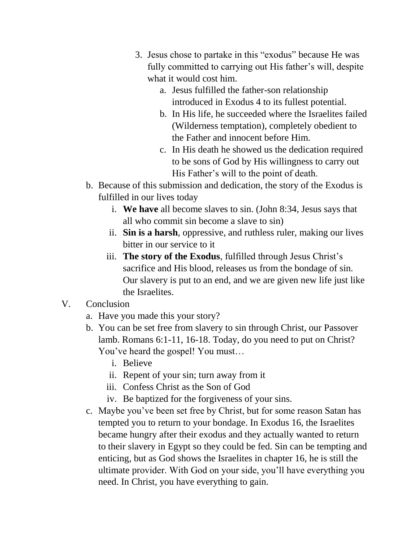- 3. Jesus chose to partake in this "exodus" because He was fully committed to carrying out His father's will, despite what it would cost him.
	- a. Jesus fulfilled the father-son relationship introduced in Exodus 4 to its fullest potential.
	- b. In His life, he succeeded where the Israelites failed (Wilderness temptation), completely obedient to the Father and innocent before Him.
	- c. In His death he showed us the dedication required to be sons of God by His willingness to carry out His Father's will to the point of death.
- b. Because of this submission and dedication, the story of the Exodus is fulfilled in our lives today
	- i. **We have** all become slaves to sin. (John 8:34, Jesus says that all who commit sin become a slave to sin)
	- ii. **Sin is a harsh**, oppressive, and ruthless ruler, making our lives bitter in our service to it
	- iii. **The story of the Exodus**, fulfilled through Jesus Christ's sacrifice and His blood, releases us from the bondage of sin. Our slavery is put to an end, and we are given new life just like the Israelites.
- V. Conclusion
	- a. Have you made this your story?
	- b. You can be set free from slavery to sin through Christ, our Passover lamb. Romans 6:1-11, 16-18. Today, do you need to put on Christ? You've heard the gospel! You must…
		- i. Believe
		- ii. Repent of your sin; turn away from it
		- iii. Confess Christ as the Son of God
		- iv. Be baptized for the forgiveness of your sins.
	- c. Maybe you've been set free by Christ, but for some reason Satan has tempted you to return to your bondage. In Exodus 16, the Israelites became hungry after their exodus and they actually wanted to return to their slavery in Egypt so they could be fed. Sin can be tempting and enticing, but as God shows the Israelites in chapter 16, he is still the ultimate provider. With God on your side, you'll have everything you need. In Christ, you have everything to gain.